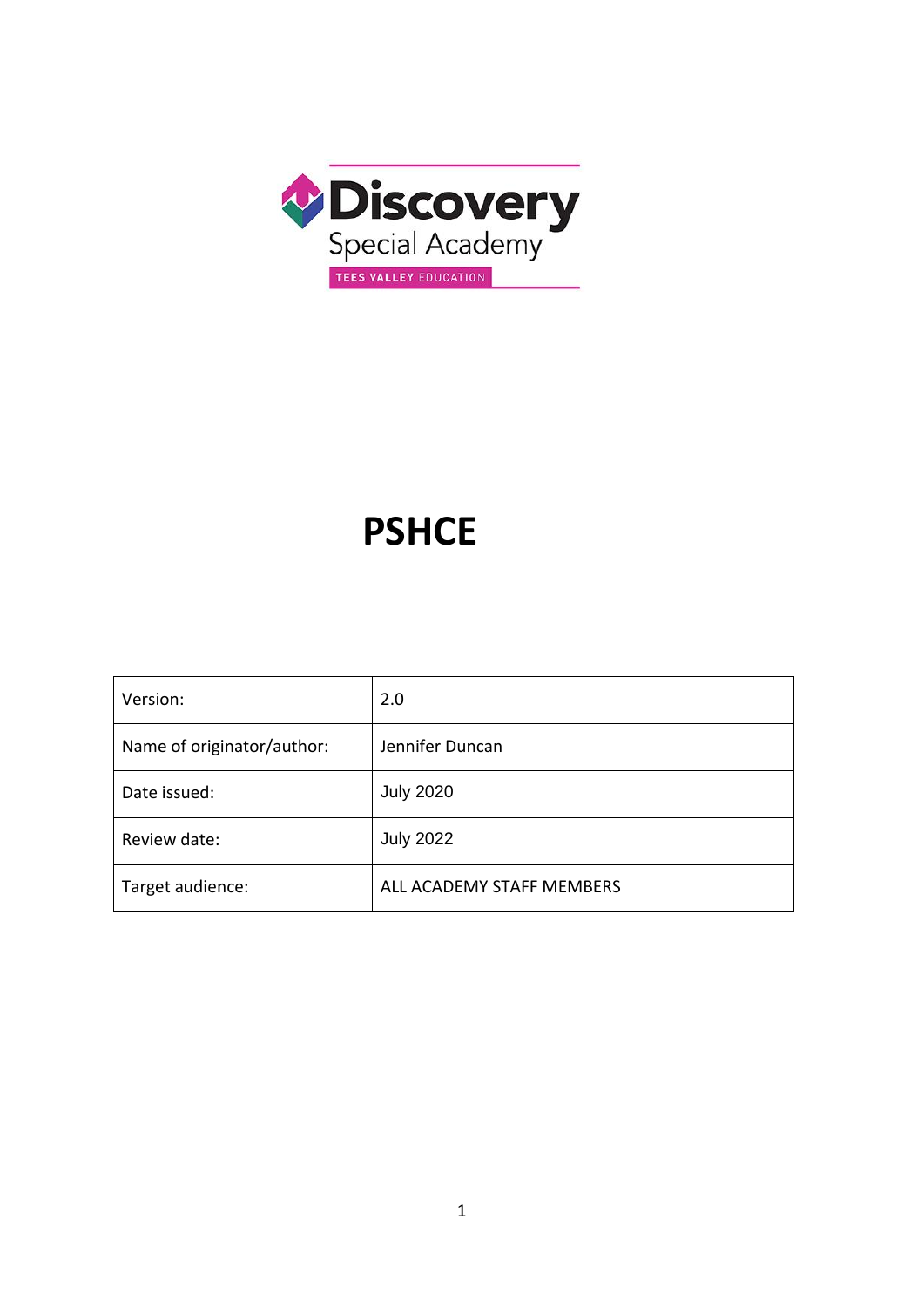

# **PSHCE**

| Version:                   | 2.0                       |
|----------------------------|---------------------------|
| Name of originator/author: | Jennifer Duncan           |
| Date issued:               | <b>July 2020</b>          |
| Review date:               | <b>July 2022</b>          |
| Target audience:           | ALL ACADEMY STAFF MEMBERS |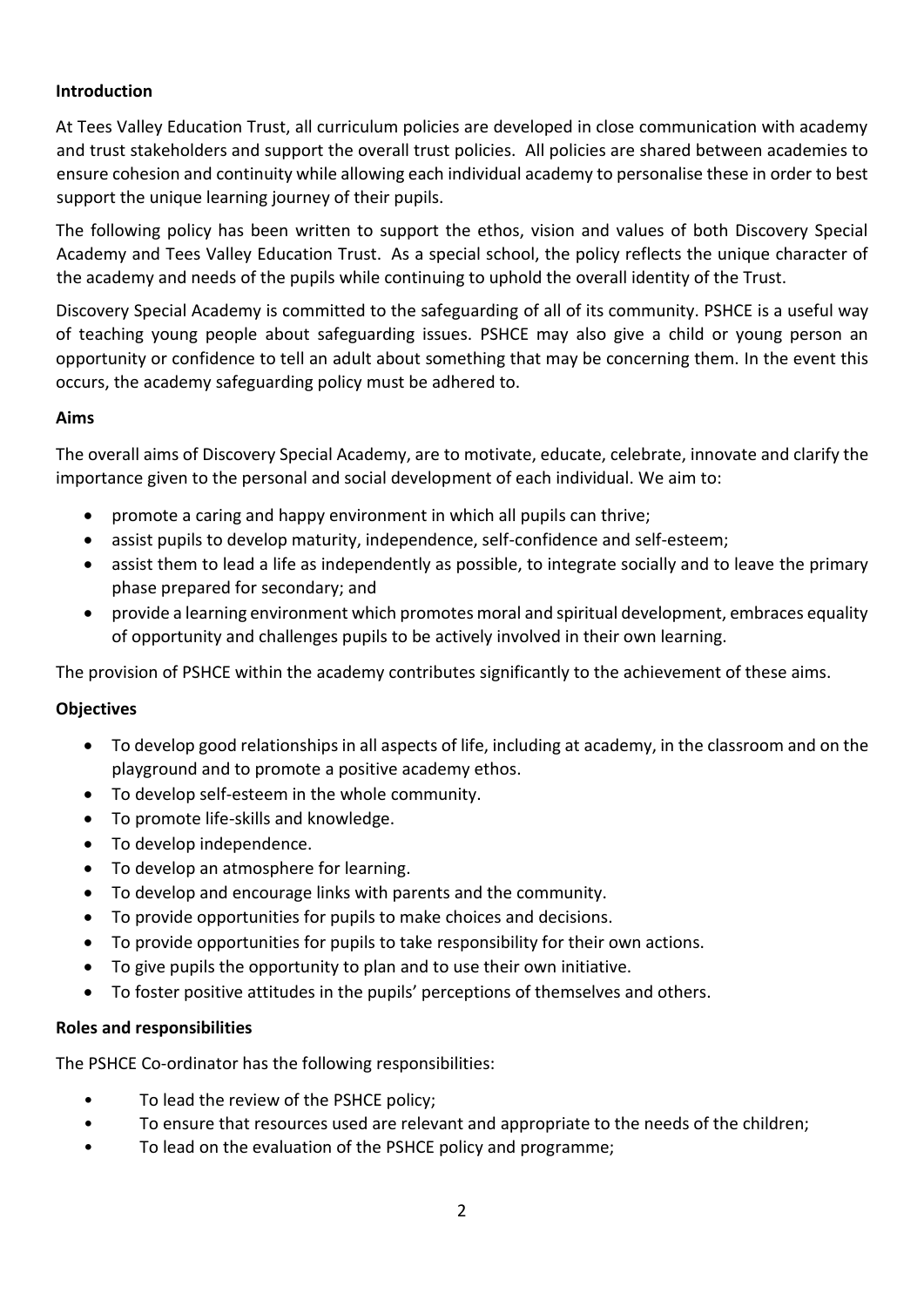# **Introduction**

At Tees Valley Education Trust, all curriculum policies are developed in close communication with academy and trust stakeholders and support the overall trust policies. All policies are shared between academies to ensure cohesion and continuity while allowing each individual academy to personalise these in order to best support the unique learning journey of their pupils.

The following policy has been written to support the ethos, vision and values of both Discovery Special Academy and Tees Valley Education Trust. As a special school, the policy reflects the unique character of the academy and needs of the pupils while continuing to uphold the overall identity of the Trust.

Discovery Special Academy is committed to the safeguarding of all of its community. PSHCE is a useful way of teaching young people about safeguarding issues. PSHCE may also give a child or young person an opportunity or confidence to tell an adult about something that may be concerning them. In the event this occurs, the academy safeguarding policy must be adhered to.

## **Aims**

The overall aims of Discovery Special Academy, are to motivate, educate, celebrate, innovate and clarify the importance given to the personal and social development of each individual. We aim to:

- promote a caring and happy environment in which all pupils can thrive;
- assist pupils to develop maturity, independence, self-confidence and self-esteem;
- assist them to lead a life as independently as possible, to integrate socially and to leave the primary phase prepared for secondary; and
- provide a learning environment which promotes moral and spiritual development, embraces equality of opportunity and challenges pupils to be actively involved in their own learning.

The provision of PSHCE within the academy contributes significantly to the achievement of these aims.

#### **Objectives**

- To develop good relationships in all aspects of life, including at academy, in the classroom and on the playground and to promote a positive academy ethos.
- To develop self-esteem in the whole community.
- To promote life-skills and knowledge.
- To develop independence.
- To develop an atmosphere for learning.
- To develop and encourage links with parents and the community.
- To provide opportunities for pupils to make choices and decisions.
- To provide opportunities for pupils to take responsibility for their own actions.
- To give pupils the opportunity to plan and to use their own initiative.
- To foster positive attitudes in the pupils' perceptions of themselves and others.

#### **Roles and responsibilities**

The PSHCE Co-ordinator has the following responsibilities:

- To lead the review of the PSHCE policy;
- To ensure that resources used are relevant and appropriate to the needs of the children;
- To lead on the evaluation of the PSHCE policy and programme;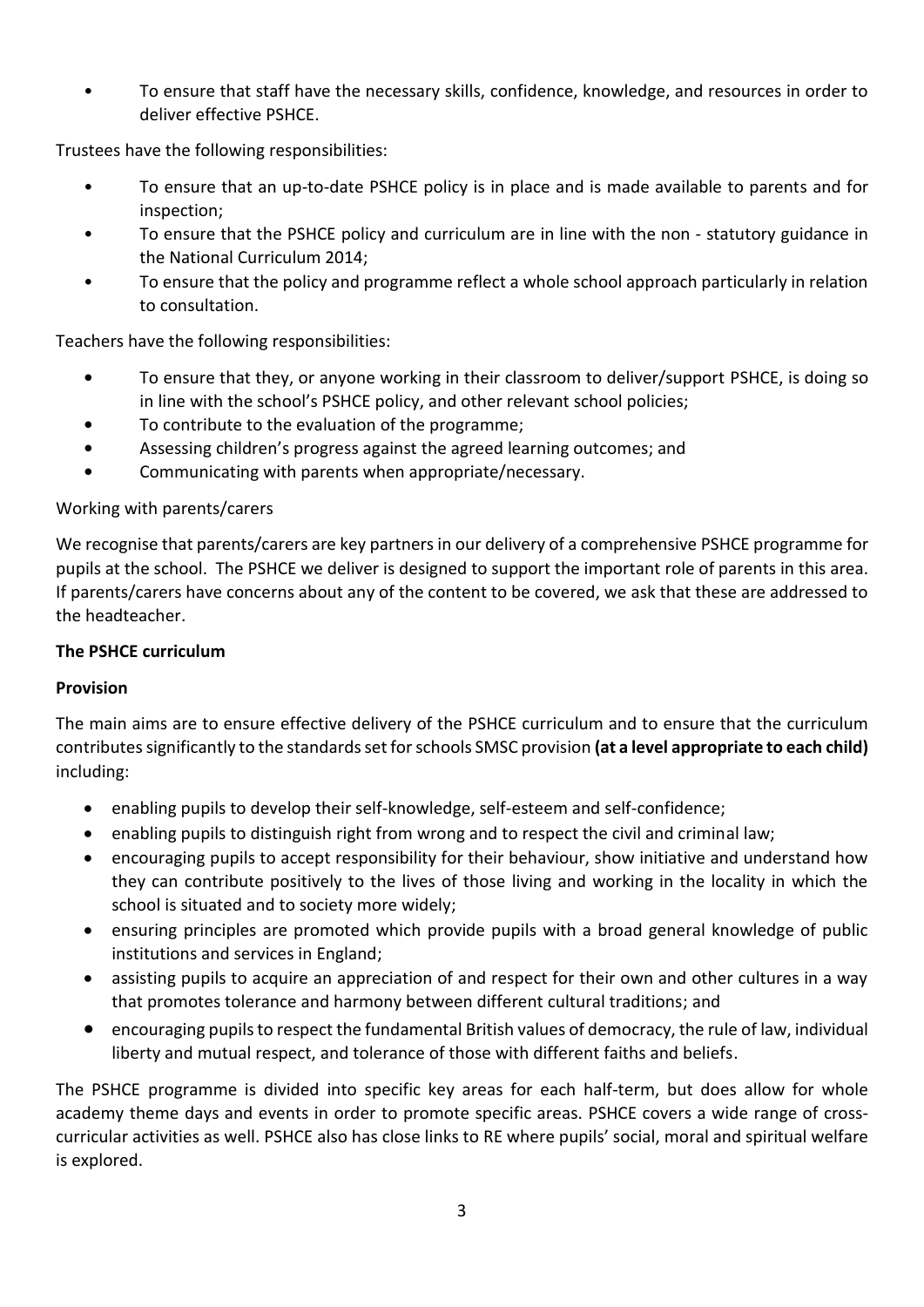• To ensure that staff have the necessary skills, confidence, knowledge, and resources in order to deliver effective PSHCE.

Trustees have the following responsibilities:

- To ensure that an up-to-date PSHCE policy is in place and is made available to parents and for inspection;
- To ensure that the PSHCE policy and curriculum are in line with the non statutory guidance in the National Curriculum 2014;
- To ensure that the policy and programme reflect a whole school approach particularly in relation to consultation.

Teachers have the following responsibilities:

- **•** To ensure that they, or anyone working in their classroom to deliver/support PSHCE, is doing so in line with the school's PSHCE policy, and other relevant school policies;
- **•** To contribute to the evaluation of the programme;
- **•** Assessing children's progress against the agreed learning outcomes; and
- **•** Communicating with parents when appropriate/necessary.

## Working with parents/carers

We recognise that parents/carers are key partners in our delivery of a comprehensive PSHCE programme for pupils at the school. The PSHCE we deliver is designed to support the important role of parents in this area. If parents/carers have concerns about any of the content to be covered, we ask that these are addressed to the headteacher.

#### **The PSHCE curriculum**

## **Provision**

The main aims are to ensure effective delivery of the PSHCE curriculum and to ensure that the curriculum contributes significantly to the standards set for schools SMSC provision **(at a level appropriate to each child)** including:

- enabling pupils to develop their self-knowledge, self-esteem and self-confidence;
- enabling pupils to distinguish right from wrong and to respect the civil and criminal law;
- encouraging pupils to accept responsibility for their behaviour, show initiative and understand how they can contribute positively to the lives of those living and working in the locality in which the school is situated and to society more widely;
- ensuring principles are promoted which provide pupils with a broad general knowledge of public institutions and services in England;
- assisting pupils to acquire an appreciation of and respect for their own and other cultures in a way that promotes tolerance and harmony between different cultural traditions; and
- encouraging pupils to respect the fundamental British values of democracy, the rule of law, individual liberty and mutual respect, and tolerance of those with different faiths and beliefs.

The PSHCE programme is divided into specific key areas for each half-term, but does allow for whole academy theme days and events in order to promote specific areas. PSHCE covers a wide range of crosscurricular activities as well. PSHCE also has close links to RE where pupils' social, moral and spiritual welfare is explored.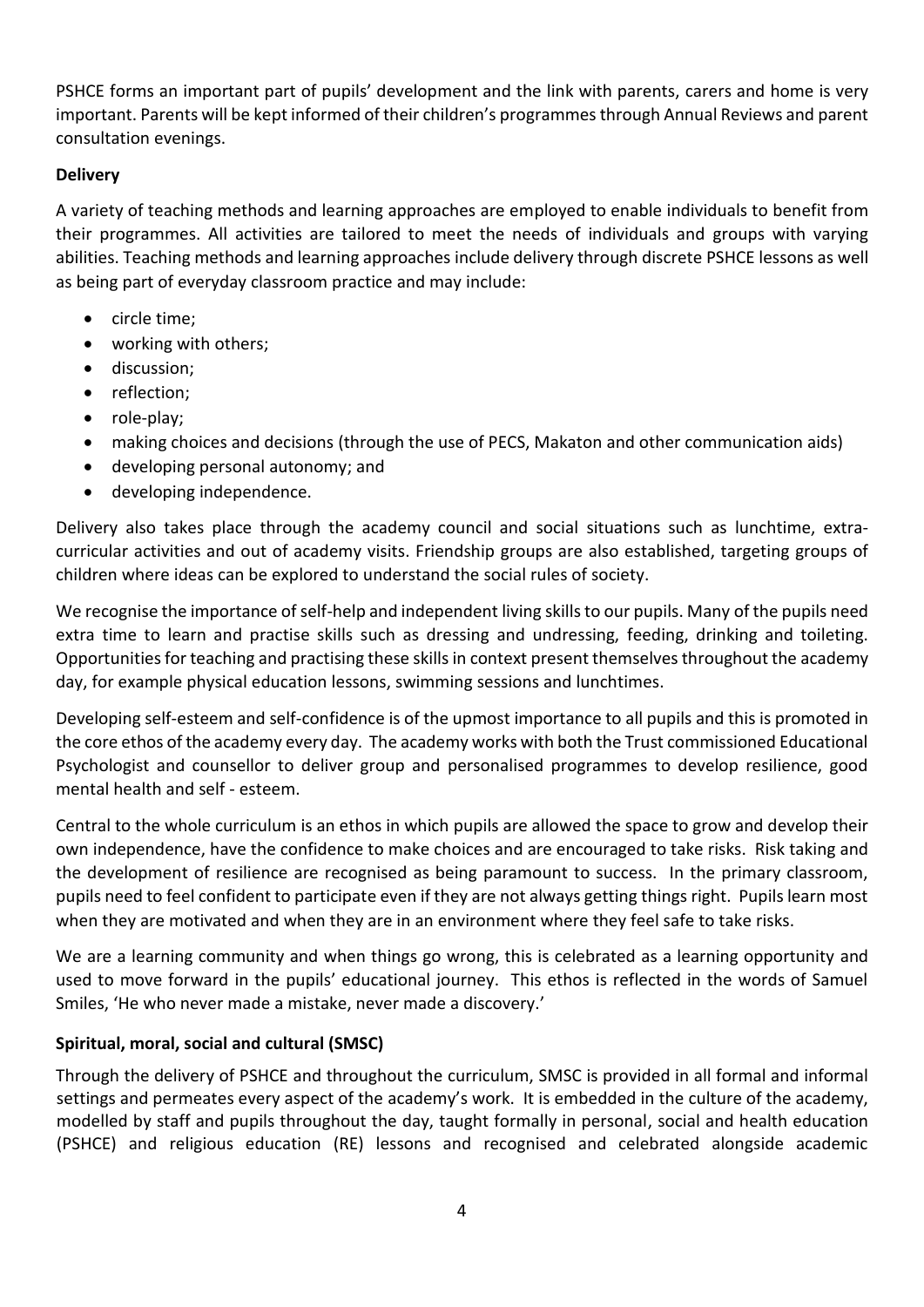PSHCE forms an important part of pupils' development and the link with parents, carers and home is very important. Parents will be kept informed of their children's programmes through Annual Reviews and parent consultation evenings.

# **Delivery**

A variety of teaching methods and learning approaches are employed to enable individuals to benefit from their programmes. All activities are tailored to meet the needs of individuals and groups with varying abilities. Teaching methods and learning approaches include delivery through discrete PSHCE lessons as well as being part of everyday classroom practice and may include:

- circle time;
- working with others;
- discussion;
- reflection;
- role-play;
- making choices and decisions (through the use of PECS, Makaton and other communication aids)
- developing personal autonomy; and
- developing independence.

Delivery also takes place through the academy council and social situations such as lunchtime, extracurricular activities and out of academy visits. Friendship groups are also established, targeting groups of children where ideas can be explored to understand the social rules of society.

We recognise the importance of self-help and independent living skills to our pupils. Many of the pupils need extra time to learn and practise skills such as dressing and undressing, feeding, drinking and toileting. Opportunities for teaching and practising these skills in context present themselves throughout the academy day, for example physical education lessons, swimming sessions and lunchtimes.

Developing self-esteem and self-confidence is of the upmost importance to all pupils and this is promoted in the core ethos of the academy every day. The academy works with both the Trust commissioned Educational Psychologist and counsellor to deliver group and personalised programmes to develop resilience, good mental health and self - esteem.

Central to the whole curriculum is an ethos in which pupils are allowed the space to grow and develop their own independence, have the confidence to make choices and are encouraged to take risks. Risk taking and the development of resilience are recognised as being paramount to success. In the primary classroom, pupils need to feel confident to participate even if they are not always getting things right. Pupils learn most when they are motivated and when they are in an environment where they feel safe to take risks.

We are a learning community and when things go wrong, this is celebrated as a learning opportunity and used to move forward in the pupils' educational journey. This ethos is reflected in the words of Samuel Smiles, 'He who never made a mistake, never made a discovery.'

# **Spiritual, moral, social and cultural (SMSC)**

Through the delivery of PSHCE and throughout the curriculum, SMSC is provided in all formal and informal settings and permeates every aspect of the academy's work. It is embedded in the culture of the academy, modelled by staff and pupils throughout the day, taught formally in personal, social and health education (PSHCE) and religious education (RE) lessons and recognised and celebrated alongside academic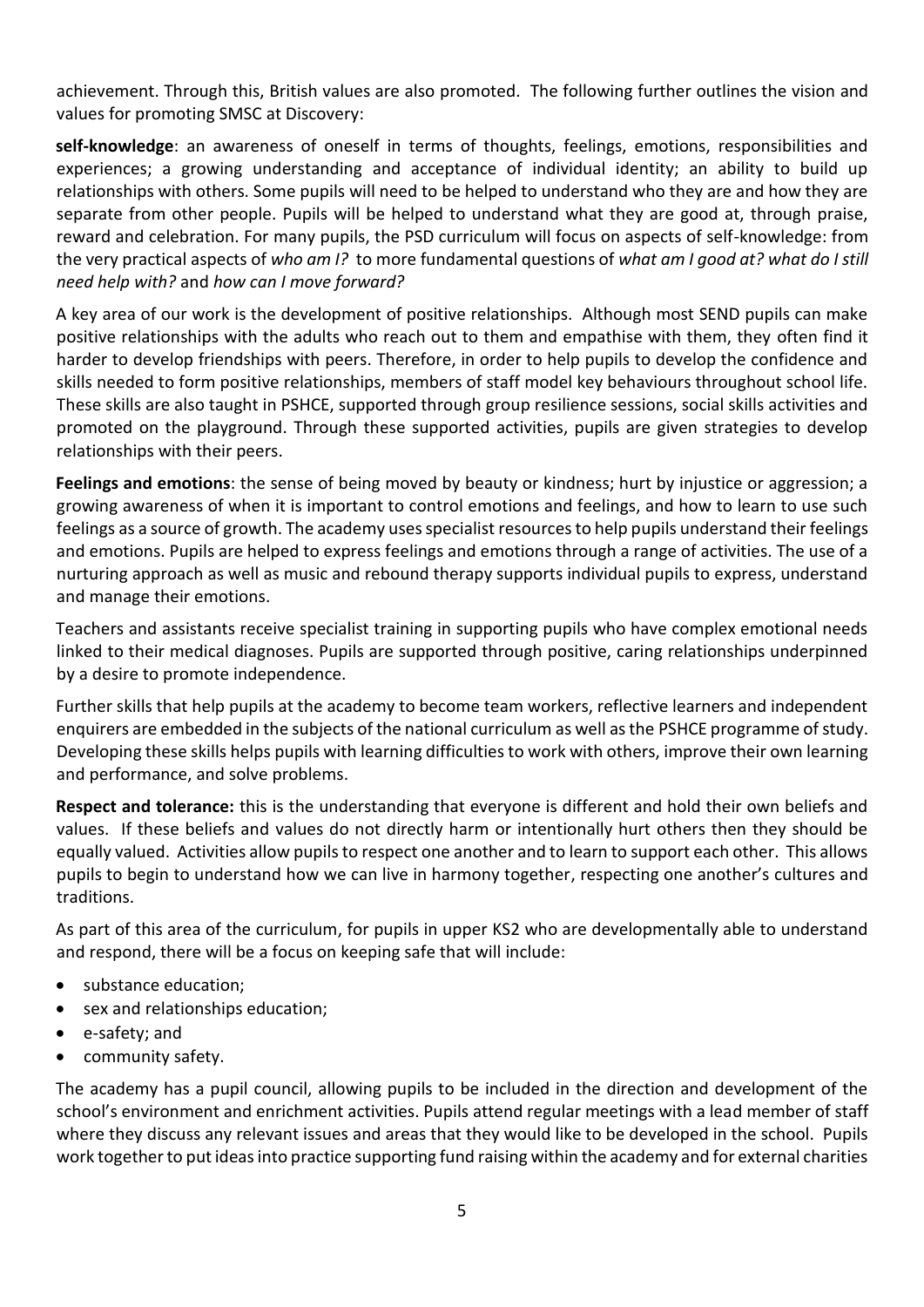achievement. Through this, British values are also promoted. The following further outlines the vision and values for promoting SMSC at Discovery:

**self-knowledge**: an awareness of oneself in terms of thoughts, feelings, emotions, responsibilities and experiences; a growing understanding and acceptance of individual identity; an ability to build up relationships with others. Some pupils will need to be helped to understand who they are and how they are separate from other people. Pupils will be helped to understand what they are good at, through praise, reward and celebration. For many pupils, the PSD curriculum will focus on aspects of self-knowledge: from the very practical aspects of *who am I?* to more fundamental questions of *what am I good at? what do I still need help with?* and *how can I move forward?*

A key area of our work is the development of positive relationships. Although most SEND pupils can make positive relationships with the adults who reach out to them and empathise with them, they often find it harder to develop friendships with peers. Therefore, in order to help pupils to develop the confidence and skills needed to form positive relationships, members of staff model key behaviours throughout school life. These skills are also taught in PSHCE, supported through group resilience sessions, social skills activities and promoted on the playground. Through these supported activities, pupils are given strategies to develop relationships with their peers.

**Feelings and emotions**: the sense of being moved by beauty or kindness; hurt by injustice or aggression; a growing awareness of when it is important to control emotions and feelings, and how to learn to use such feelings as a source of growth. The academy uses specialist resources to help pupils understand their feelings and emotions. Pupils are helped to express feelings and emotions through a range of activities. The use of a nurturing approach as well as music and rebound therapy supports individual pupils to express, understand and manage their emotions.

Teachers and assistants receive specialist training in supporting pupils who have complex emotional needs linked to their medical diagnoses. Pupils are supported through positive, caring relationships underpinned by a desire to promote independence.

Further skills that help pupils at the academy to become team workers, reflective learners and independent enquirers are embedded in the subjects of the national curriculum as well as the PSHCE programme of study. Developing these skills helps pupils with learning difficulties to work with others, improve their own learning and performance, and solve problems.

**Respect and tolerance:** this is the understanding that everyone is different and hold their own beliefs and values. If these beliefs and values do not directly harm or intentionally hurt others then they should be equally valued. Activities allow pupils to respect one another and to learn to support each other. This allows pupils to begin to understand how we can live in harmony together, respecting one another's cultures and traditions.

As part of this area of the curriculum, for pupils in upper KS2 who are developmentally able to understand and respond, there will be a focus on keeping safe that will include:

- substance education;
- sex and relationships education;
- e-safety; and
- community safety.

The academy has a pupil council, allowing pupils to be included in the direction and development of the school's environment and enrichment activities. Pupils attend regular meetings with a lead member of staff where they discuss any relevant issues and areas that they would like to be developed in the school. Pupils work together to put ideas into practice supporting fund raising within the academy and for external charities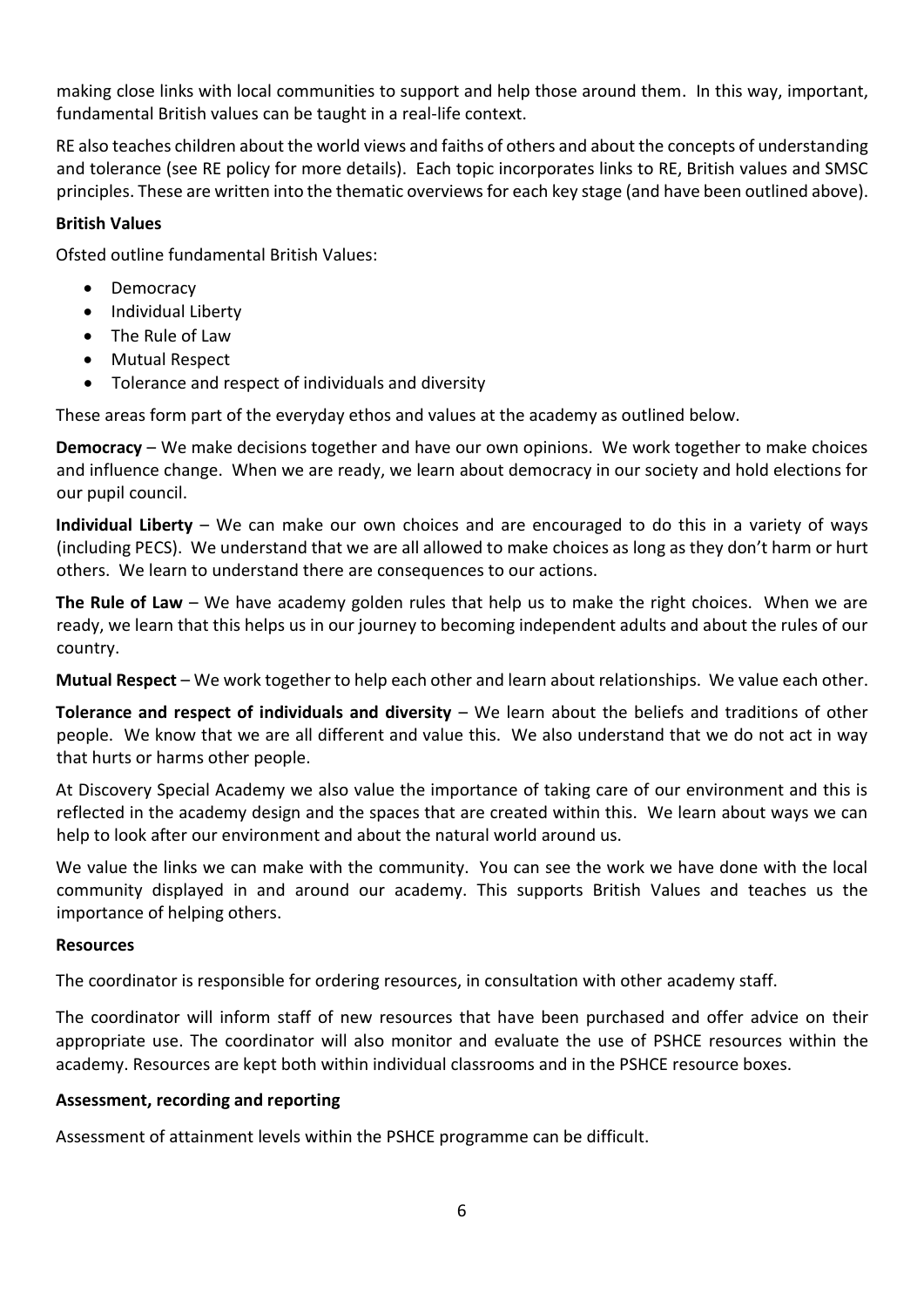making close links with local communities to support and help those around them. In this way, important, fundamental British values can be taught in a real-life context.

RE also teaches children about the world views and faiths of others and about the concepts of understanding and tolerance (see RE policy for more details). Each topic incorporates links to RE, British values and SMSC principles. These are written into the thematic overviews for each key stage (and have been outlined above).

# **British Values**

Ofsted outline fundamental British Values:

- Democracy
- Individual Liberty
- The Rule of Law
- Mutual Respect
- Tolerance and respect of individuals and diversity

These areas form part of the everyday ethos and values at the academy as outlined below.

**Democracy** – We make decisions together and have our own opinions. We work together to make choices and influence change. When we are ready, we learn about democracy in our society and hold elections for our pupil council.

**Individual Liberty** – We can make our own choices and are encouraged to do this in a variety of ways (including PECS). We understand that we are all allowed to make choices as long as they don't harm or hurt others. We learn to understand there are consequences to our actions.

**The Rule of Law** – We have academy golden rules that help us to make the right choices. When we are ready, we learn that this helps us in our journey to becoming independent adults and about the rules of our country.

**Mutual Respect** – We work together to help each other and learn about relationships. We value each other.

**Tolerance and respect of individuals and diversity** – We learn about the beliefs and traditions of other people. We know that we are all different and value this. We also understand that we do not act in way that hurts or harms other people.

At Discovery Special Academy we also value the importance of taking care of our environment and this is reflected in the academy design and the spaces that are created within this. We learn about ways we can help to look after our environment and about the natural world around us.

We value the links we can make with the community. You can see the work we have done with the local community displayed in and around our academy. This supports British Values and teaches us the importance of helping others.

#### **Resources**

The coordinator is responsible for ordering resources, in consultation with other academy staff.

The coordinator will inform staff of new resources that have been purchased and offer advice on their appropriate use. The coordinator will also monitor and evaluate the use of PSHCE resources within the academy. Resources are kept both within individual classrooms and in the PSHCE resource boxes.

## **Assessment, recording and reporting**

Assessment of attainment levels within the PSHCE programme can be difficult.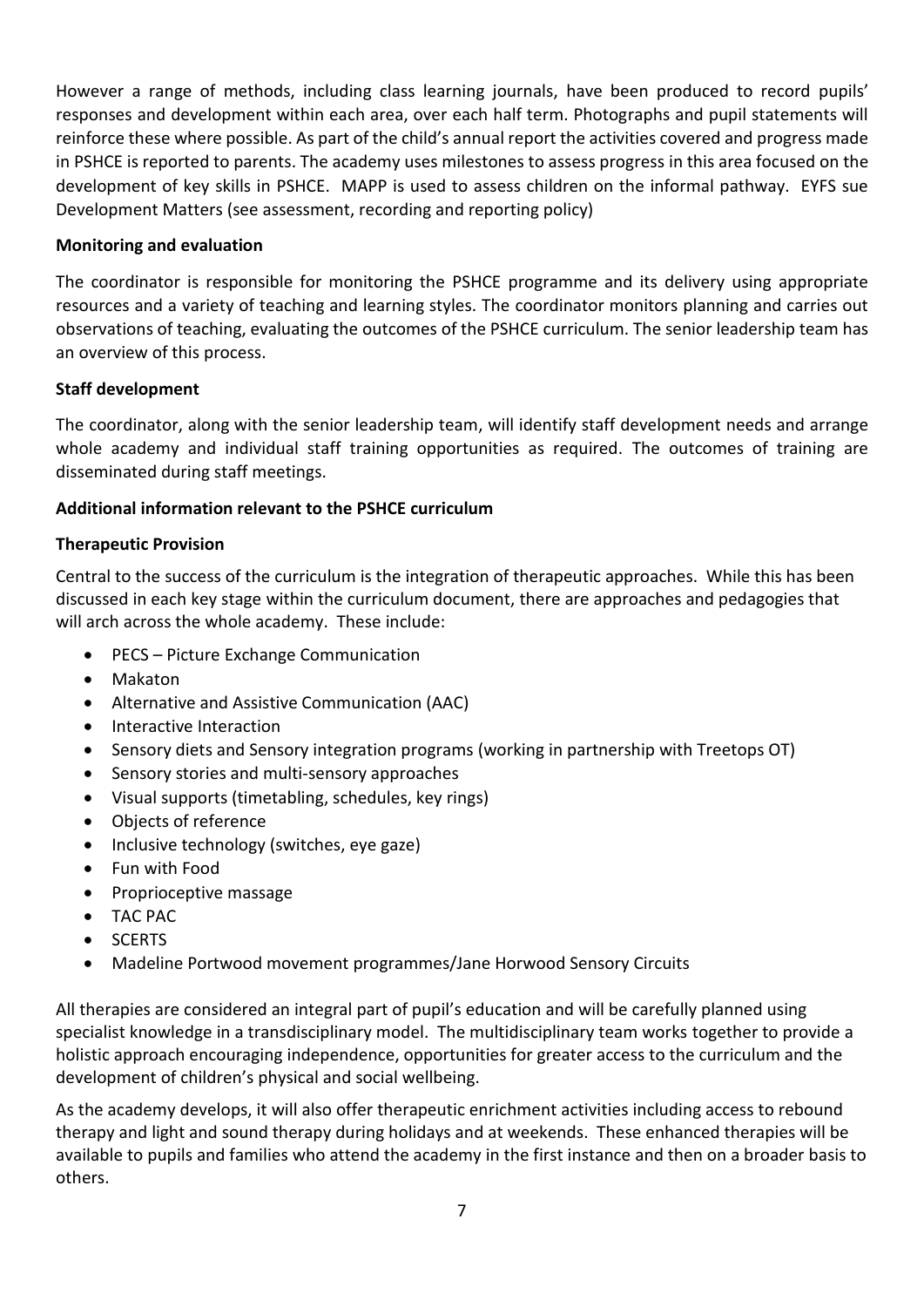However a range of methods, including class learning journals, have been produced to record pupils' responses and development within each area, over each half term. Photographs and pupil statements will reinforce these where possible. As part of the child's annual report the activities covered and progress made in PSHCE is reported to parents. The academy uses milestones to assess progress in this area focused on the development of key skills in PSHCE. MAPP is used to assess children on the informal pathway. EYFS sue Development Matters (see assessment, recording and reporting policy)

# **Monitoring and evaluation**

The coordinator is responsible for monitoring the PSHCE programme and its delivery using appropriate resources and a variety of teaching and learning styles. The coordinator monitors planning and carries out observations of teaching, evaluating the outcomes of the PSHCE curriculum. The senior leadership team has an overview of this process.

# **Staff development**

The coordinator, along with the senior leadership team, will identify staff development needs and arrange whole academy and individual staff training opportunities as required. The outcomes of training are disseminated during staff meetings.

# **Additional information relevant to the PSHCE curriculum**

## **Therapeutic Provision**

Central to the success of the curriculum is the integration of therapeutic approaches. While this has been discussed in each key stage within the curriculum document, there are approaches and pedagogies that will arch across the whole academy. These include:

- PECS Picture Exchange Communication
- Makaton
- Alternative and Assistive Communication (AAC)
- Interactive Interaction
- Sensory diets and Sensory integration programs (working in partnership with Treetops OT)
- Sensory stories and multi-sensory approaches
- Visual supports (timetabling, schedules, key rings)
- Objects of reference
- Inclusive technology (switches, eye gaze)
- Fun with Food
- Proprioceptive massage
- TAC PAC
- SCERTS
- Madeline Portwood movement programmes/Jane Horwood Sensory Circuits

All therapies are considered an integral part of pupil's education and will be carefully planned using specialist knowledge in a transdisciplinary model. The multidisciplinary team works together to provide a holistic approach encouraging independence, opportunities for greater access to the curriculum and the development of children's physical and social wellbeing.

As the academy develops, it will also offer therapeutic enrichment activities including access to rebound therapy and light and sound therapy during holidays and at weekends. These enhanced therapies will be available to pupils and families who attend the academy in the first instance and then on a broader basis to others.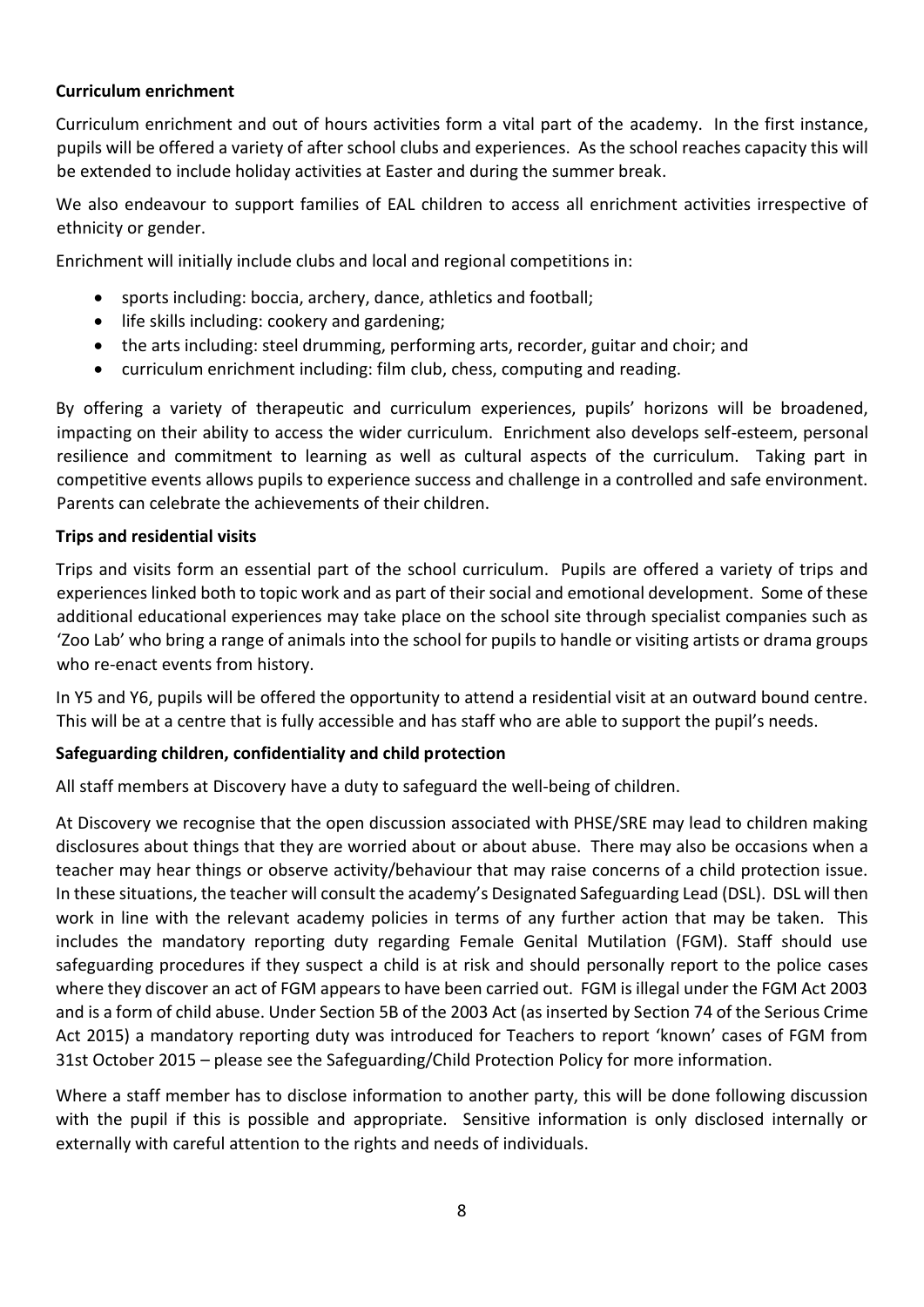# **Curriculum enrichment**

Curriculum enrichment and out of hours activities form a vital part of the academy. In the first instance, pupils will be offered a variety of after school clubs and experiences. As the school reaches capacity this will be extended to include holiday activities at Easter and during the summer break.

We also endeavour to support families of EAL children to access all enrichment activities irrespective of ethnicity or gender.

Enrichment will initially include clubs and local and regional competitions in:

- sports including: boccia, archery, dance, athletics and football;
- life skills including: cookery and gardening;
- the arts including: steel drumming, performing arts, recorder, guitar and choir; and
- curriculum enrichment including: film club, chess, computing and reading.

By offering a variety of therapeutic and curriculum experiences, pupils' horizons will be broadened, impacting on their ability to access the wider curriculum. Enrichment also develops self-esteem, personal resilience and commitment to learning as well as cultural aspects of the curriculum. Taking part in competitive events allows pupils to experience success and challenge in a controlled and safe environment. Parents can celebrate the achievements of their children.

#### **Trips and residential visits**

Trips and visits form an essential part of the school curriculum. Pupils are offered a variety of trips and experiences linked both to topic work and as part of their social and emotional development. Some of these additional educational experiences may take place on the school site through specialist companies such as 'Zoo Lab' who bring a range of animals into the school for pupils to handle or visiting artists or drama groups who re-enact events from history.

In Y5 and Y6, pupils will be offered the opportunity to attend a residential visit at an outward bound centre. This will be at a centre that is fully accessible and has staff who are able to support the pupil's needs.

## **Safeguarding children, confidentiality and child protection**

All staff members at Discovery have a duty to safeguard the well-being of children.

At Discovery we recognise that the open discussion associated with PHSE/SRE may lead to children making disclosures about things that they are worried about or about abuse. There may also be occasions when a teacher may hear things or observe activity/behaviour that may raise concerns of a child protection issue. In these situations, the teacher will consult the academy's Designated Safeguarding Lead (DSL). DSL will then work in line with the relevant academy policies in terms of any further action that may be taken. This includes the mandatory reporting duty regarding Female Genital Mutilation (FGM). Staff should use safeguarding procedures if they suspect a child is at risk and should personally report to the police cases where they discover an act of FGM appears to have been carried out. FGM is illegal under the FGM Act 2003 and is a form of child abuse. Under Section 5B of the 2003 Act (as inserted by Section 74 of the Serious Crime Act 2015) a mandatory reporting duty was introduced for Teachers to report 'known' cases of FGM from 31st October 2015 – please see the Safeguarding/Child Protection Policy for more information.

Where a staff member has to disclose information to another party, this will be done following discussion with the pupil if this is possible and appropriate. Sensitive information is only disclosed internally or externally with careful attention to the rights and needs of individuals.